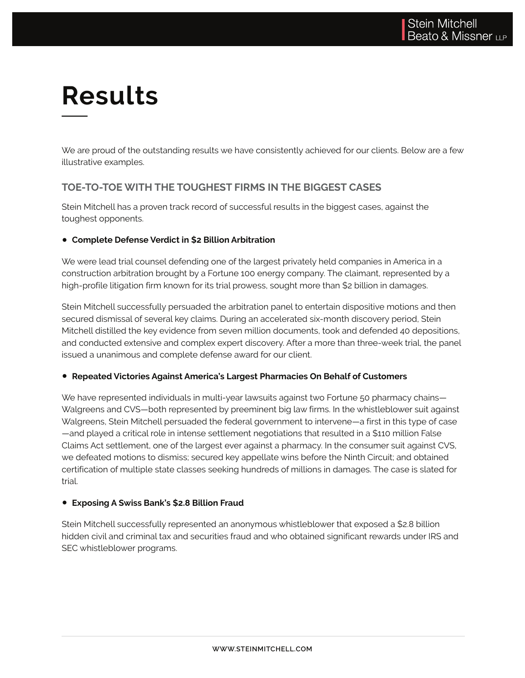# **Results**

We are proud of the outstanding results we have consistently achieved for our clients. Below are a few illustrative examples.

### **TOE-TO-TOE WITH THE TOUGHEST FIRMS IN THE BIGGEST CASES**

Stein Mitchell has a proven track record of successful results in the biggest cases, against the toughest opponents.

#### ● **Complete Defense Verdict in \$2 Billion Arbitration**

We were lead trial counsel defending one of the largest privately held companies in America in a construction arbitration brought by a Fortune 100 energy company. The claimant, represented by a high-profile litigation firm known for its trial prowess, sought more than \$2 billion in damages.

Stein Mitchell successfully persuaded the arbitration panel to entertain dispositive motions and then secured dismissal of several key claims. During an accelerated six-month discovery period, Stein Mitchell distilled the key evidence from seven million documents, took and defended 40 depositions, and conducted extensive and complex expert discovery. After a more than three-week trial, the panel issued a unanimous and complete defense award for our client.

#### ● **Repeated Victories Against America's Largest Pharmacies On Behalf of Customers**

We have represented individuals in multi-year lawsuits against two Fortune 50 pharmacy chains— Walgreens and CVS—both represented by preeminent big law firms. In the whistleblower suit against Walgreens, Stein Mitchell persuaded the federal government to intervene—a first in this type of case —and played a critical role in intense settlement negotiations that resulted in a \$110 million False Claims Act settlement, one of the largest ever against a pharmacy. In the consumer suit against CVS, we defeated motions to dismiss; secured key appellate wins before the Ninth Circuit; and obtained certification of multiple state classes seeking hundreds of millions in damages. The case is slated for trial.

#### ● **Exposing A Swiss Bank's \$2.8 Billion Fraud**

Stein Mitchell successfully represented an anonymous whistleblower that exposed a \$2.8 billion hidden civil and criminal tax and securities fraud and who obtained significant rewards under IRS and SEC whistleblower programs.